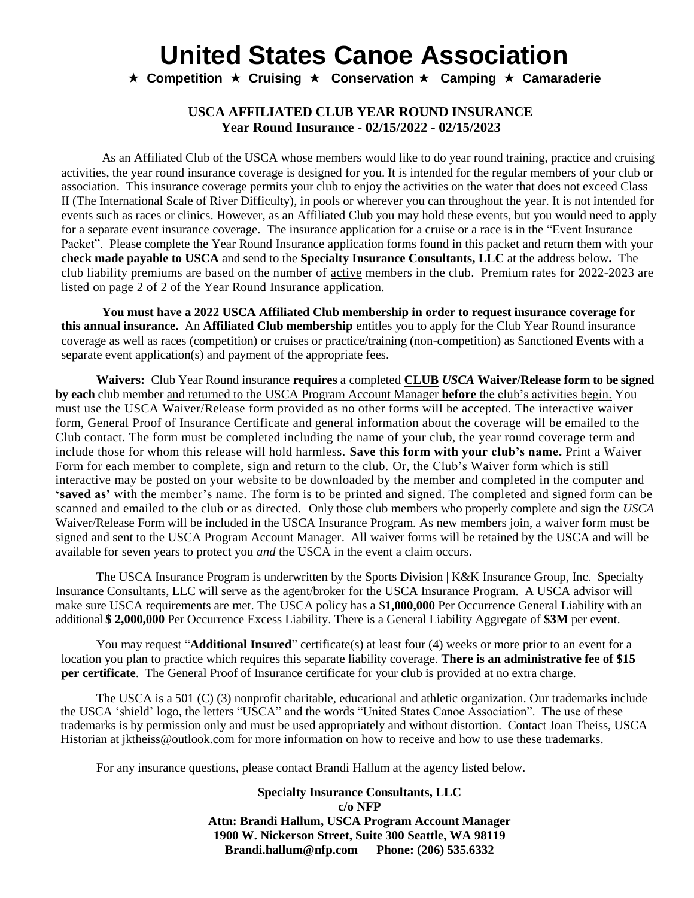**★ Competition ★ Cruising ★ Conservation ★ Camping ★ Camaraderie** 

#### **USCA AFFILIATED CLUB YEAR ROUND INSURANCE Year Round Insurance - 02/15/2022 - 02/15/2023**

As an Affiliated Club of the USCA whose members would like to do year round training, practice and cruising activities, the year round insurance coverage is designed for you. It is intended for the regular members of your club or association. This insurance coverage permits your club to enjoy the activities on the water that does not exceed Class II (The International Scale of River Difficulty), in pools or wherever you can throughout the year. It is not intended for events such as races or clinics. However, as an Affiliated Club you may hold these events, but you would need to apply for a separate event insurance coverage. The insurance application for a cruise or a race is in the "Event Insurance Packet". Please complete the Year Round Insurance application forms found in this packet and return them with your **check made payable to USCA** and send to the **Specialty Insurance Consultants, LLC** at the address below**.** The club liability premiums are based on the number of active members in the club. Premium rates for 2022-2023 are listed on page 2 of 2 of the Year Round Insurance application.

**You must have a 2022 USCA Affiliated Club membership in order to request insurance coverage for this annual insurance.** An **Affiliated Club membership** entitles you to apply for the Club Year Round insurance coverage as well as races (competition) or cruises or practice/training (non-competition) as Sanctioned Events with a separate event application(s) and payment of the appropriate fees.

**Waivers:** Club Year Round insurance **requires** a completed **CLUB** *USCA* **Waiver/Release form to be signed by each** club member and returned to the USCA Program Account Manager **before** the club's activities begin. You must use the USCA Waiver/Release form provided as no other forms will be accepted. The interactive waiver form, General Proof of Insurance Certificate and general information about the coverage will be emailed to the Club contact. The form must be completed including the name of your club, the year round coverage term and include those for whom this release will hold harmless. **Save this form with your club's name.** Print a Waiver Form for each member to complete, sign and return to the club. Or, the Club's Waiver form which is still interactive may be posted on your website to be downloaded by the member and completed in the computer and **'saved as'** with the member's name. The form is to be printed and signed. The completed and signed form can be scanned and emailed to the club or as directed. Only those club members who properly complete and sign the *USCA*  Waiver/Release Form will be included in the USCA Insurance Program. As new members join, a waiver form must be signed and sent to the USCA Program Account Manager. All waiver forms will be retained by the USCA and will be available for seven years to protect you *and* the USCA in the event a claim occurs.

The USCA Insurance Program is underwritten by the Sports Division | K&K Insurance Group, Inc. Specialty Insurance Consultants, LLC will serve as the agent/broker for the USCA Insurance Program. A USCA advisor will make sure USCA requirements are met. The USCA policy has a \$**1,000,000** Per Occurrence General Liability with an additional **\$ 2,000,000** Per Occurrence Excess Liability. There is a General Liability Aggregate of **\$3M** per event.

You may request "**Additional Insured**" certificate(s) at least four (4) weeks or more prior to an event for a location you plan to practice which requires this separate liability coverage. **There is an administrative fee of \$15 per certificate**. The General Proof of Insurance certificate for your club is provided at no extra charge.

The USCA is a 501 (C) (3) nonprofit charitable, educational and athletic organization. Our trademarks include the USCA 'shield' logo, the letters "USCA" and the words "United States Canoe Association". The use of these trademarks is by permission only and must be used appropriately and without distortion. Contact Joan Theiss, USCA Historian at jktheiss@outlook.com for more information on how to receive and how to use these trademarks.

For any insurance questions, please contact Brandi Hallum at the agency listed below.

**Specialty Insurance Consultants, LLC c/o NFP Attn: Brandi Hallum, USCA Program Account Manager 1900 W. Nickerson Street, Suite 300 Seattle, WA 98119 Brandi.hallum@nfp.com Phone: (206) 535.6332**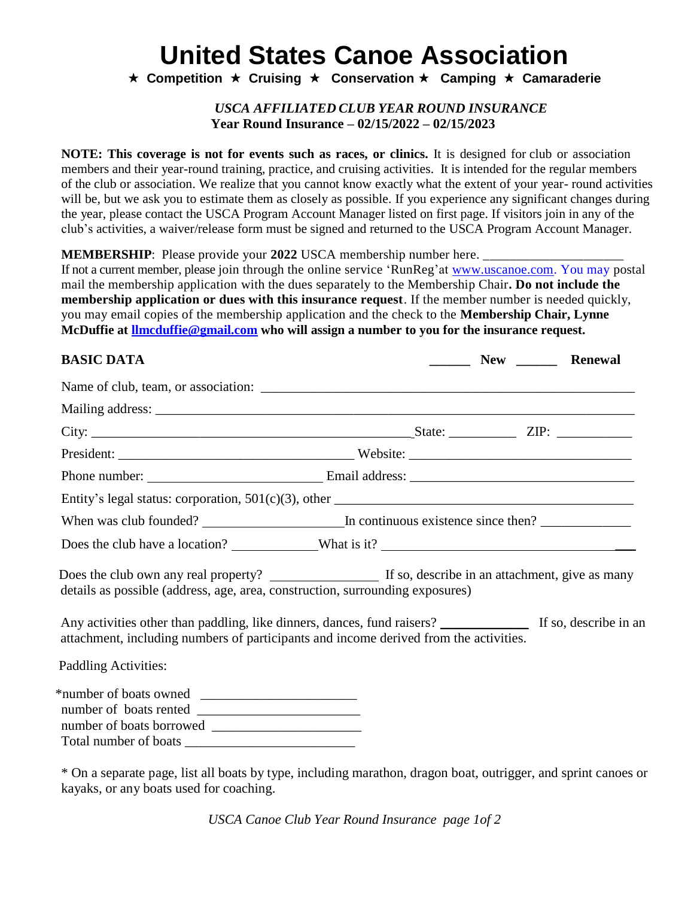**★ Competition ★ Cruising ★ Conservation ★ Camping ★ Camaraderie** 

#### *USCA AFFILIATED CLUB YEAR ROUND INSURANCE* **Year Round Insurance – 02/15/2022 – 02/15/2023**

**NOTE: This coverage is not for events such as races, or clinics.** It is designed for club or association members and their year-round training, practice, and cruising activities. It is intended for the regular members of the club or association. We realize that you cannot know exactly what the extent of your year- round activities will be, but we ask you to estimate them as closely as possible. If you experience any significant changes during the year, please contact the USCA Program Account Manager listed on first page. If visitors join in any of the club's activities, a waiver/release form must be signed and returned to the USCA Program Account Manager.

**MEMBERSHIP**: Please provide your 2022 USCA membership number here.

If not a current member, please join through the online service 'RunReg'at [www.uscanoe.com.](http://www.uscanoe.com/) You may postal mail the membership application with the dues separately to the Membership Chair**. Do not include the membership application or dues with this insurance request**. If the member number is needed quickly, you may email copies of the membership application and the check to the **Membership Chair, Lynne McDuffie at [llmcduffie@gmail.com](mailto:llmcduffie@gmail.com) who will assign a number to you for the insurance request.**

#### **BASIC DATA \_\_\_\_\_\_ New \_\_\_\_\_\_ Renewal**

| details as possible (address, age, area, construction, surrounding exposures)                                                                                                                          |  |  |  |  |  |
|--------------------------------------------------------------------------------------------------------------------------------------------------------------------------------------------------------|--|--|--|--|--|
| Any activities other than paddling, like dinners, dances, fund raisers? _______________ If so, describe in an<br>attachment, including numbers of participants and income derived from the activities. |  |  |  |  |  |
| Paddling Activities:                                                                                                                                                                                   |  |  |  |  |  |
| *number of boats owned                                                                                                                                                                                 |  |  |  |  |  |

Total number of boats

\* On a separate page, list all boats by type, including marathon, dragon boat, outrigger, and sprint canoes or kayaks, or any boats used for coaching.

*USCA Canoe Club Year Round Insurance page 1of 2*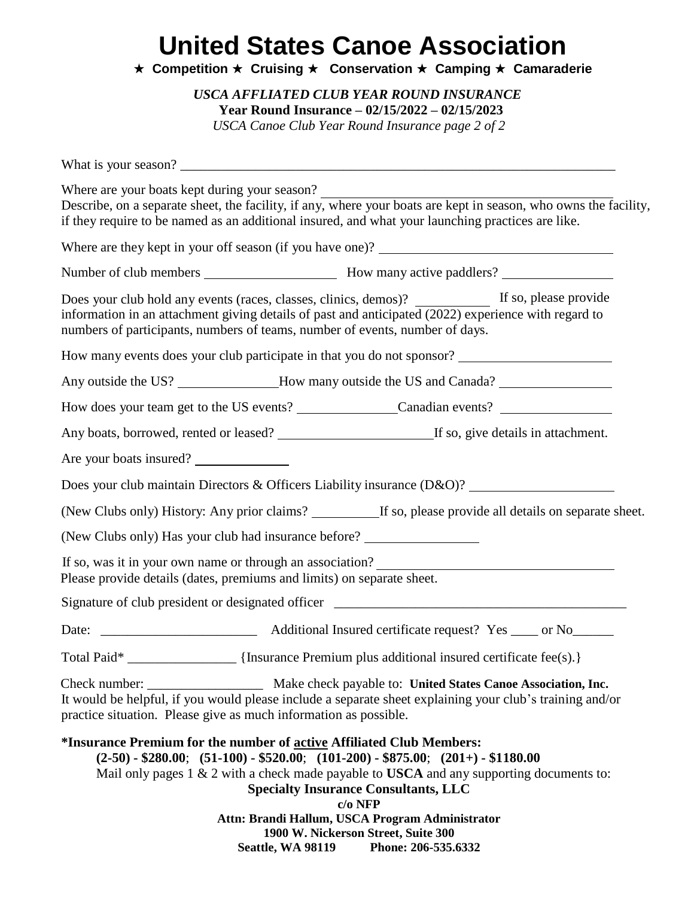**★ Competition ★ Cruising ★ Conservation ★ Camping ★ Camaraderie** 

*USCA AFFLIATED CLUB YEAR ROUND INSURANCE* **Year Round Insurance – 02/15/2022 – 02/15/2023**

*USCA Canoe Club Year Round Insurance page 2 of 2*

| Where are your boats kept during your season?                                     |                          | Describe, on a separate sheet, the facility, if any, where your boats are kept in season, who owns the facility,<br>if they require to be named as an additional insured, and what your launching practices are like.                                                                                                                                         |
|-----------------------------------------------------------------------------------|--------------------------|---------------------------------------------------------------------------------------------------------------------------------------------------------------------------------------------------------------------------------------------------------------------------------------------------------------------------------------------------------------|
|                                                                                   |                          |                                                                                                                                                                                                                                                                                                                                                               |
|                                                                                   |                          |                                                                                                                                                                                                                                                                                                                                                               |
| numbers of participants, numbers of teams, number of events, number of days.      |                          | information in an attachment giving details of past and anticipated (2022) experience with regard to                                                                                                                                                                                                                                                          |
|                                                                                   |                          | How many events does your club participate in that you do not sponsor? ____________________________                                                                                                                                                                                                                                                           |
|                                                                                   |                          | Any outside the US? _______________How many outside the US and Canada? _____________________________                                                                                                                                                                                                                                                          |
|                                                                                   |                          |                                                                                                                                                                                                                                                                                                                                                               |
|                                                                                   |                          |                                                                                                                                                                                                                                                                                                                                                               |
| Are your boats insured?                                                           |                          |                                                                                                                                                                                                                                                                                                                                                               |
|                                                                                   |                          | Does your club maintain Directors & Officers Liability insurance (D&O)?                                                                                                                                                                                                                                                                                       |
|                                                                                   |                          | (New Clubs only) History: Any prior claims? ____________ If so, please provide all details on separate sheet.                                                                                                                                                                                                                                                 |
| (New Clubs only) Has your club had insurance before?                              |                          |                                                                                                                                                                                                                                                                                                                                                               |
| Please provide details (dates, premiums and limits) on separate sheet.            |                          |                                                                                                                                                                                                                                                                                                                                                               |
|                                                                                   |                          | Signature of club president or designated officer ______________________________                                                                                                                                                                                                                                                                              |
|                                                                                   |                          |                                                                                                                                                                                                                                                                                                                                                               |
| Total Paid*                                                                       |                          | [Insurance Premium plus additional insured certificate fee(s).]                                                                                                                                                                                                                                                                                               |
| Check number:<br>practice situation. Please give as much information as possible. |                          | Make check payable to: United States Canoe Association, Inc.<br>It would be helpful, if you would please include a separate sheet explaining your club's training and/or                                                                                                                                                                                      |
| *Insurance Premium for the number of active Affiliated Club Members:              | <b>Seattle, WA 98119</b> | $(2-50) - $280.00;$ $(51-100) - $520.00;$ $(101-200) - $875.00;$ $(201+) - $1180.00$<br>Mail only pages 1 & 2 with a check made payable to USCA and any supporting documents to:<br><b>Specialty Insurance Consultants, LLC</b><br>$c/o$ NFP<br>Attn: Brandi Hallum, USCA Program Administrator<br>1900 W. Nickerson Street, Suite 300<br>Phone: 206-535.6332 |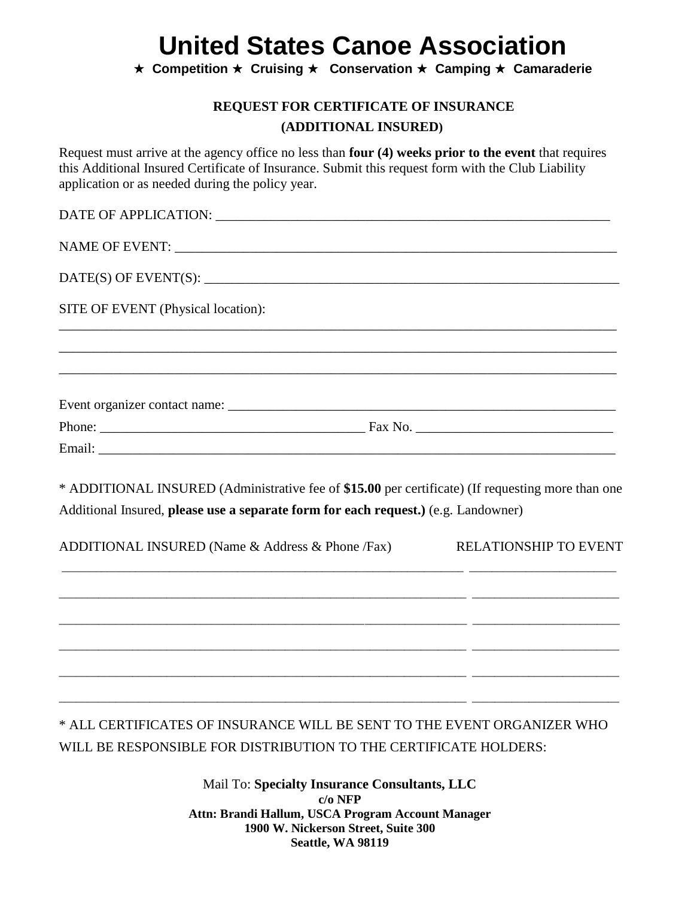**★ Competition ★ Cruising ★ Conservation ★ Camping ★ Camaraderie** 

#### **REQUEST FOR CERTIFICATE OF INSURANCE (ADDITIONAL INSURED)**

Request must arrive at the agency office no less than **four (4) weeks prior to the event** that requires this Additional Insured Certificate of Insurance. Submit this request form with the Club Liability application or as needed during the policy year.

| SITE OF EVENT (Physical location):                                                                |
|---------------------------------------------------------------------------------------------------|
|                                                                                                   |
|                                                                                                   |
|                                                                                                   |
|                                                                                                   |
| * ADDITIONAL INSURED (Administrative fee of \$15.00 per certificate) (If requesting more than one |
| Additional Insured, please use a separate form for each request.) (e.g. Landowner)                |
| ADDITIONAL INSURED (Name & Address & Phone /Fax)<br><b>RELATIONSHIP TO EVENT</b>                  |
|                                                                                                   |
|                                                                                                   |
|                                                                                                   |

\* ALL CERTIFICATES OF INSURANCE WILL BE SENT TO THE EVENT ORGANIZER WHO WILL BE RESPONSIBLE FOR DISTRIBUTION TO THE CERTIFICATE HOLDERS:

\_\_\_\_\_\_\_\_\_\_\_\_\_\_\_\_\_\_\_\_\_\_\_\_\_\_\_\_\_\_\_\_\_\_\_\_\_\_\_\_\_\_\_\_\_\_\_\_\_\_\_\_\_\_\_\_\_\_\_\_\_\_\_\_\_\_\_\_\_\_\_\_ \_\_\_\_\_\_\_\_\_\_\_\_\_\_\_\_\_\_\_\_\_\_\_\_\_\_

\_\_\_\_\_\_\_\_\_\_\_\_\_\_\_\_\_\_\_\_\_\_\_\_\_\_\_\_\_\_\_\_\_\_\_\_\_\_\_\_\_\_\_\_\_\_\_\_\_\_\_\_\_\_\_\_\_\_\_\_\_\_\_\_\_\_\_\_\_\_\_\_ \_\_\_\_\_\_\_\_\_\_\_\_\_\_\_\_\_\_\_\_\_\_\_\_\_\_

Mail To: **Specialty Insurance Consultants, LLC c/o NFP Attn: Brandi Hallum, USCA Program Account Manager 1900 W. Nickerson Street, Suite 300 Seattle, WA 98119**